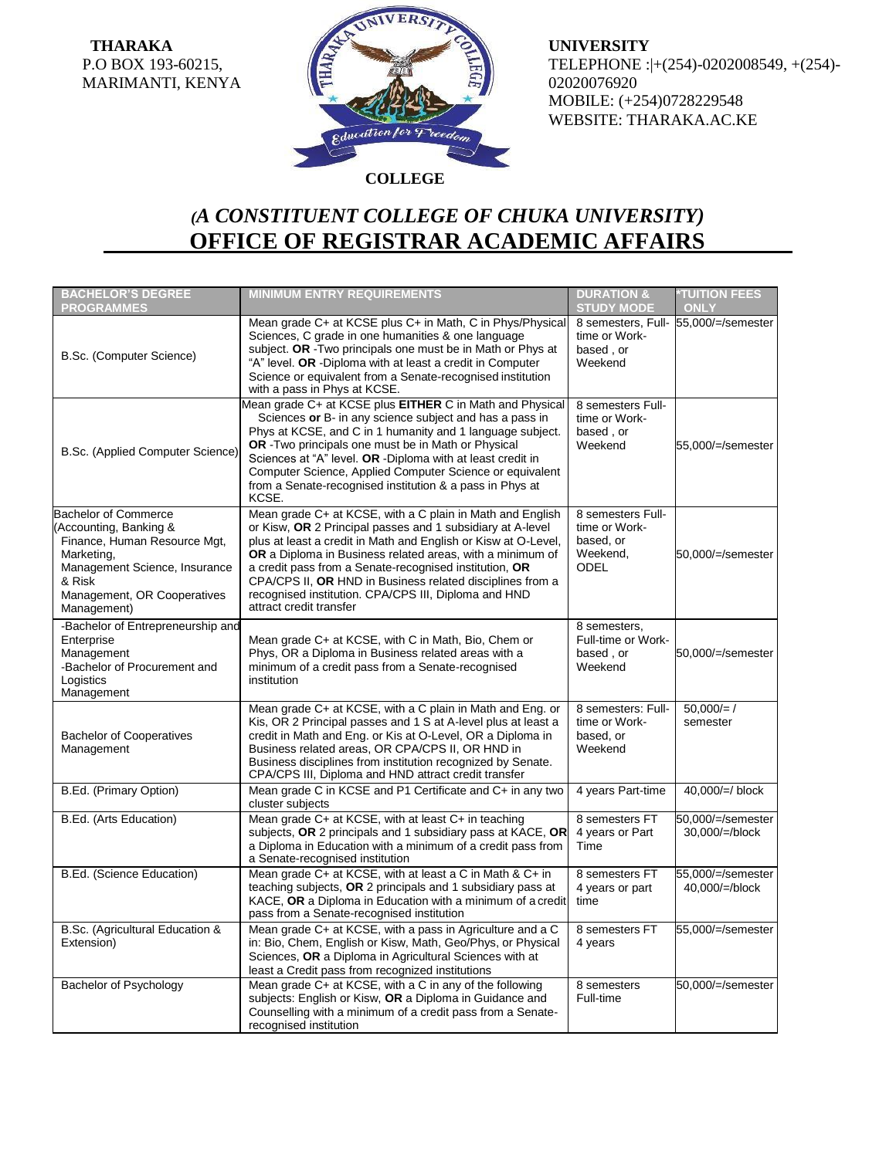**THARAKA** P.O BOX 193-60215, MARIMANTI, KENYA



**UNIVERSITY** TELEPHONE :|+(254)-0202008549, +(254)- 02020076920 MOBILE: (+254)0728229548 WEBSITE: THARAKA.AC.KE

## *(A CONSTITUENT COLLEGE OF CHUKA UNIVERSITY)* **OFFICE OF REGISTRAR ACADEMIC AFFAIRS**

| <b>BACHELOR'S DEGREE</b><br><b>PROGRAMMES</b>                                                                                                                                                | <b>MINIMUM ENTRY REQUIREMENTS</b>                                                                                                                                                                                                                                                                                                                                                                                                                                | <b>DURATION &amp;</b><br><b>STUDY MODE</b>                                 | <b>TUITION FEES</b><br>ONLY          |
|----------------------------------------------------------------------------------------------------------------------------------------------------------------------------------------------|------------------------------------------------------------------------------------------------------------------------------------------------------------------------------------------------------------------------------------------------------------------------------------------------------------------------------------------------------------------------------------------------------------------------------------------------------------------|----------------------------------------------------------------------------|--------------------------------------|
| B.Sc. (Computer Science)                                                                                                                                                                     | Mean grade C+ at KCSE plus C+ in Math, C in Phys/Physical<br>Sciences, C grade in one humanities & one language<br>subject. OR - Two principals one must be in Math or Phys at<br>"A" level. OR -Diploma with at least a credit in Computer<br>Science or equivalent from a Senate-recognised institution<br>with a pass in Phys at KCSE.                                                                                                                        | time or Work-<br>based, or<br>Weekend                                      | 8 semesters, Full- 55,000/=/semester |
| B.Sc. (Applied Computer Science)                                                                                                                                                             | Mean grade C+ at KCSE plus EITHER C in Math and Physical<br>Sciences or B- in any science subject and has a pass in<br>Phys at KCSE, and C in 1 humanity and 1 language subject.<br>OR - Two principals one must be in Math or Physical<br>Sciences at "A" level. OR -Diploma with at least credit in<br>Computer Science, Applied Computer Science or equivalent<br>from a Senate-recognised institution & a pass in Phys at<br>KCSE.                           | 8 semesters Full-<br>time or Work-<br>based, or<br>Weekend                 | 55,000/=/semester                    |
| <b>Bachelor of Commerce</b><br>(Accounting, Banking &<br>Finance, Human Resource Mgt,<br>Marketing.<br>Management Science, Insurance<br>& Risk<br>Management, OR Cooperatives<br>Management) | Mean grade C+ at KCSE, with a C plain in Math and English<br>or Kisw, OR 2 Principal passes and 1 subsidiary at A-level<br>plus at least a credit in Math and English or Kisw at O-Level,<br>OR a Diploma in Business related areas, with a minimum of<br>a credit pass from a Senate-recognised institution, OR<br>CPA/CPS II, OR HND in Business related disciplines from a<br>recognised institution. CPA/CPS III, Diploma and HND<br>attract credit transfer | 8 semesters Full-<br>time or Work-<br>based, or<br>Weekend,<br><b>ODEL</b> | 50,000/=/semester                    |
| -Bachelor of Entrepreneurship and<br>Enterprise<br>Management<br>-Bachelor of Procurement and<br>Logistics<br>Management                                                                     | Mean grade C+ at KCSE, with C in Math, Bio, Chem or<br>Phys, OR a Diploma in Business related areas with a<br>minimum of a credit pass from a Senate-recognised<br>institution                                                                                                                                                                                                                                                                                   | 8 semesters,<br>Full-time or Work-<br>based, or<br>Weekend                 | 50,000/=/semester                    |
| <b>Bachelor of Cooperatives</b><br>Management                                                                                                                                                | Mean grade C+ at KCSE, with a C plain in Math and Eng. or<br>Kis, OR 2 Principal passes and 1 S at A-level plus at least a<br>credit in Math and Eng. or Kis at O-Level, OR a Diploma in<br>Business related areas, OR CPA/CPS II, OR HND in<br>Business disciplines from institution recognized by Senate.<br>CPA/CPS III, Diploma and HND attract credit transfer                                                                                              | 8 semesters: Full-<br>time or Work-<br>based, or<br>Weekend                | $50.000 = /$<br>semester             |
| B.Ed. (Primary Option)                                                                                                                                                                       | Mean grade C in KCSE and P1 Certificate and C+ in any two<br>cluster subjects                                                                                                                                                                                                                                                                                                                                                                                    | 4 years Part-time                                                          | $40,000/=\!/$ block                  |
| B.Ed. (Arts Education)                                                                                                                                                                       | Mean grade C+ at KCSE, with at least C+ in teaching<br>subjects, OR 2 principals and 1 subsidiary pass at KACE, OR<br>a Diploma in Education with a minimum of a credit pass from<br>a Senate-recognised institution                                                                                                                                                                                                                                             | 8 semesters FT<br>4 years or Part<br>Time                                  | 50,000/=/semester<br>30,000/=/block  |
| B.Ed. (Science Education)                                                                                                                                                                    | Mean grade C+ at KCSE, with at least a C in Math & C+ in<br>teaching subjects, OR 2 principals and 1 subsidiary pass at<br>KACE, OR a Diploma in Education with a minimum of a credit<br>pass from a Senate-recognised institution                                                                                                                                                                                                                               | 8 semesters FT<br>4 years or part<br>time                                  | 55,000/=/semester<br>40,000/=/block  |
| B.Sc. (Agricultural Education &<br>Extension)                                                                                                                                                | Mean grade C+ at KCSE, with a pass in Agriculture and a C<br>in: Bio, Chem, English or Kisw, Math, Geo/Phys, or Physical<br>Sciences, OR a Diploma in Agricultural Sciences with at<br>least a Credit pass from recognized institutions                                                                                                                                                                                                                          | 8 semesters FT<br>4 years                                                  | 55,000/=/semester                    |
| <b>Bachelor of Psychology</b>                                                                                                                                                                | Mean grade C+ at KCSE, with a C in any of the following<br>subjects: English or Kisw, OR a Diploma in Guidance and<br>Counselling with a minimum of a credit pass from a Senate-<br>recognised institution                                                                                                                                                                                                                                                       | 8 semesters<br>Full-time                                                   | 50,000/=/semester                    |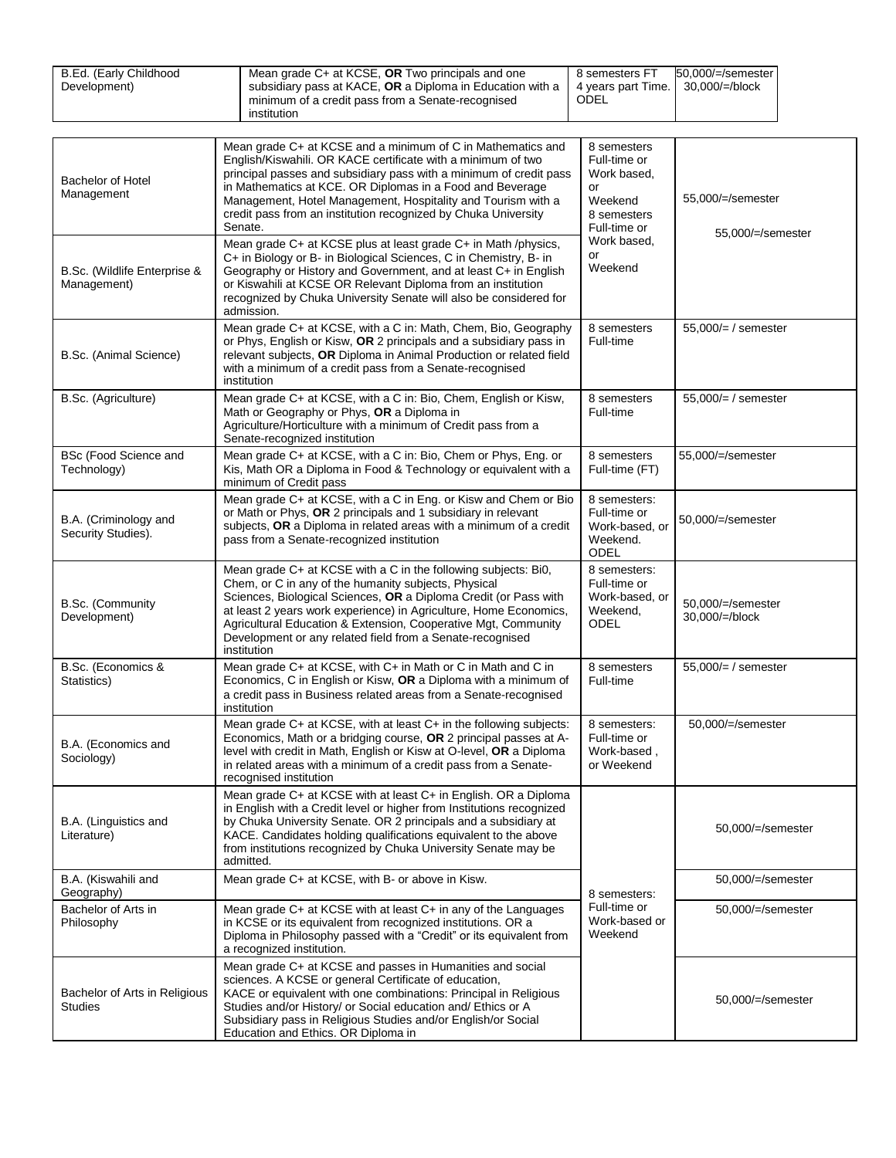| B.Ed. (Early Childhood<br>Development) | Mean grade C+ at KCSE, OR Two principals and one<br>subsidiary pass at KACE, OR a Diploma in Education with a<br>minimum of a credit pass from a Senate-recognised<br>institution | 8 semesters FT<br>4 years part Time.<br>ODEL | 50.000/=/semester<br>$30.000/$ =/block |
|----------------------------------------|-----------------------------------------------------------------------------------------------------------------------------------------------------------------------------------|----------------------------------------------|----------------------------------------|
|----------------------------------------|-----------------------------------------------------------------------------------------------------------------------------------------------------------------------------------|----------------------------------------------|----------------------------------------|

| <b>Bachelor of Hotel</b><br>Management          | Mean grade C+ at KCSE and a minimum of C in Mathematics and<br>English/Kiswahili. OR KACE certificate with a minimum of two<br>principal passes and subsidiary pass with a minimum of credit pass<br>in Mathematics at KCE. OR Diplomas in a Food and Beverage<br>Management, Hotel Management, Hospitality and Tourism with a<br>credit pass from an institution recognized by Chuka University<br>Senate.   | 8 semesters<br>Full-time or<br>Work based,<br>or<br>Weekend<br>8 semesters<br>Full-time or | 55,000/=/semester<br>55,000/=/semester |
|-------------------------------------------------|---------------------------------------------------------------------------------------------------------------------------------------------------------------------------------------------------------------------------------------------------------------------------------------------------------------------------------------------------------------------------------------------------------------|--------------------------------------------------------------------------------------------|----------------------------------------|
| B.Sc. (Wildlife Enterprise &<br>Management)     | Mean grade C+ at KCSE plus at least grade C+ in Math /physics,<br>C+ in Biology or B- in Biological Sciences, C in Chemistry, B- in<br>Geography or History and Government, and at least C+ in English<br>or Kiswahili at KCSE OR Relevant Diploma from an institution<br>recognized by Chuka University Senate will also be considered for<br>admission.                                                     | Work based,<br>or<br>Weekend                                                               |                                        |
| B.Sc. (Animal Science)                          | Mean grade C+ at KCSE, with a C in: Math, Chem, Bio, Geography<br>or Phys, English or Kisw, OR 2 principals and a subsidiary pass in<br>relevant subjects, OR Diploma in Animal Production or related field<br>with a minimum of a credit pass from a Senate-recognised<br>institution                                                                                                                        | 8 semesters<br>Full-time                                                                   | $55,000/=\prime$ semester              |
| B.Sc. (Agriculture)                             | Mean grade C+ at KCSE, with a C in: Bio, Chem, English or Kisw,<br>Math or Geography or Phys, OR a Diploma in<br>Agriculture/Horticulture with a minimum of Credit pass from a<br>Senate-recognized institution                                                                                                                                                                                               | 8 semesters<br>Full-time                                                                   | $55,000/=\prime$ semester              |
| BSc (Food Science and<br>Technology)            | Mean grade C+ at KCSE, with a C in: Bio, Chem or Phys, Eng. or<br>Kis, Math OR a Diploma in Food & Technology or equivalent with a<br>minimum of Credit pass                                                                                                                                                                                                                                                  | 8 semesters<br>Full-time (FT)                                                              | 55.000/=/semester                      |
| B.A. (Criminology and<br>Security Studies).     | Mean grade C+ at KCSE, with a C in Eng. or Kisw and Chem or Bio<br>or Math or Phys, OR 2 principals and 1 subsidiary in relevant<br>subjects, OR a Diploma in related areas with a minimum of a credit<br>pass from a Senate-recognized institution                                                                                                                                                           | 8 semesters:<br>Full-time or<br>Work-based, or<br>Weekend.<br><b>ODEL</b>                  | 50,000/=/semester                      |
| B.Sc. (Community<br>Development)                | Mean grade C+ at KCSE with a C in the following subjects: Bi0,<br>Chem, or C in any of the humanity subjects, Physical<br>Sciences, Biological Sciences, OR a Diploma Credit (or Pass with<br>at least 2 years work experience) in Agriculture, Home Economics,<br>Agricultural Education & Extension, Cooperative Mgt, Community<br>Development or any related field from a Senate-recognised<br>institution | 8 semesters:<br>Full-time or<br>Work-based, or<br>Weekend,<br><b>ODEL</b>                  | 50,000/=/semester<br>30,000/=/block    |
| B.Sc. (Economics &<br>Statistics)               | Mean grade C+ at KCSE, with C+ in Math or C in Math and C in<br>Economics, C in English or Kisw, OR a Diploma with a minimum of<br>a credit pass in Business related areas from a Senate-recognised<br>institution                                                                                                                                                                                            | 8 semesters<br>Full-time                                                                   | $55,000/=\prime$ semester              |
| B.A. (Economics and<br>Sociology)               | Mean grade C+ at KCSE, with at least C+ in the following subjects:<br>Economics, Math or a bridging course, OR 2 principal passes at A-<br>level with credit in Math, English or Kisw at O-level, OR a Diploma<br>in related areas with a minimum of a credit pass from a Senate-<br>recognised institution                                                                                                   | 8 semesters:<br>Full-time or<br>Work-based,<br>or Weekend                                  | 50.000/=/semester                      |
| B.A. (Linguistics and<br>Literature)            | Mean grade C+ at KCSE with at least C+ in English. OR a Diploma<br>in English with a Credit level or higher from Institutions recognized<br>by Chuka University Senate. OR 2 principals and a subsidiary at<br>KACE. Candidates holding qualifications equivalent to the above<br>from institutions recognized by Chuka University Senate may be<br>admitted.                                                 |                                                                                            | 50,000/=/semester                      |
| B.A. (Kiswahili and<br>Geography)               | Mean grade C+ at KCSE, with B- or above in Kisw.                                                                                                                                                                                                                                                                                                                                                              | 8 semesters:                                                                               | 50,000/=/semester                      |
| Bachelor of Arts in<br>Philosophy               | Mean grade $C+$ at KCSE with at least $C+$ in any of the Languages<br>in KCSE or its equivalent from recognized institutions. OR a<br>Diploma in Philosophy passed with a "Credit" or its equivalent from<br>a recognized institution.                                                                                                                                                                        | Full-time or<br>Work-based or<br>Weekend                                                   | 50,000/=/semester                      |
| Bachelor of Arts in Religious<br><b>Studies</b> | Mean grade C+ at KCSE and passes in Humanities and social<br>sciences. A KCSE or general Certificate of education,<br>KACE or equivalent with one combinations: Principal in Religious<br>Studies and/or History/ or Social education and/ Ethics or A<br>Subsidiary pass in Religious Studies and/or English/or Social<br>Education and Ethics. OR Diploma in                                                |                                                                                            | 50,000/=/semester                      |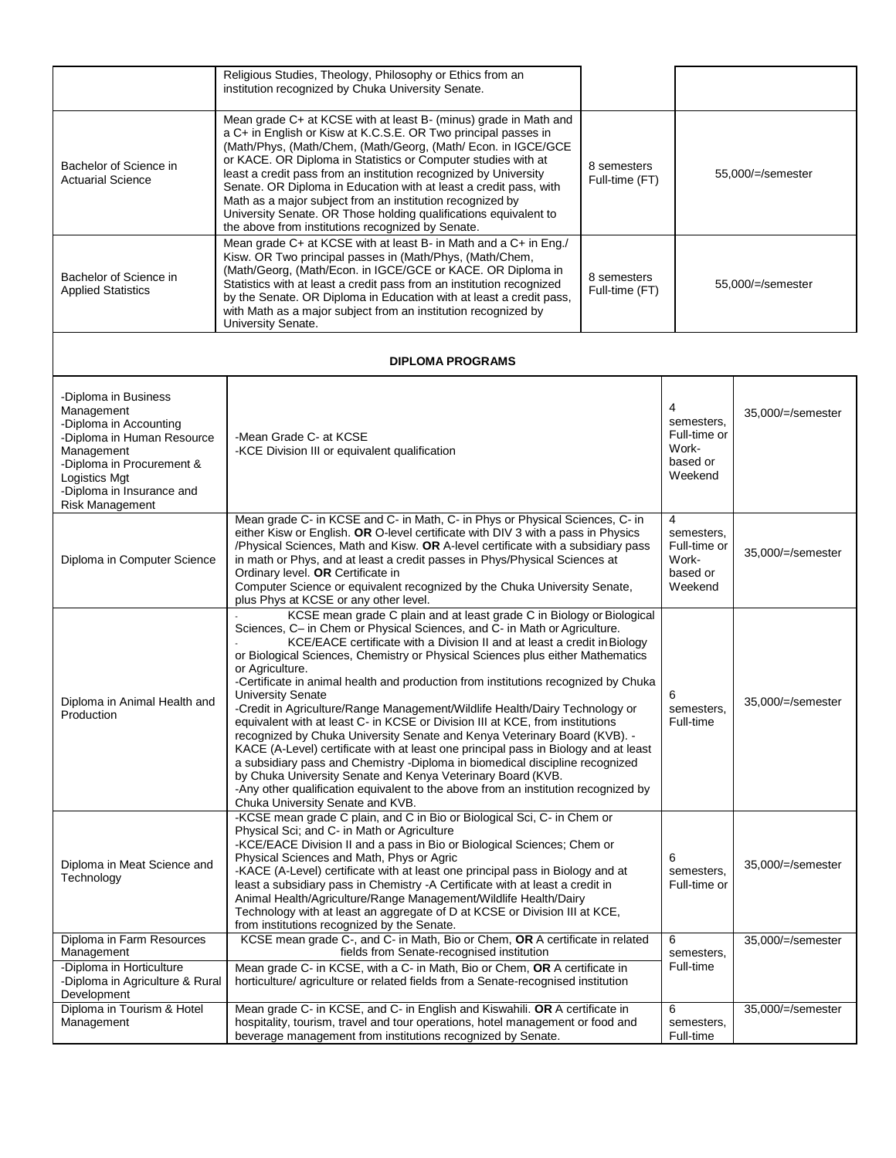|                                                                                                                                                                                                        | Religious Studies, Theology, Philosophy or Ethics from an<br>institution recognized by Chuka University Senate.                                                                                                                                                                                                                                                                                                                                                                                                                                                                                                                                                                                                                                                                                                                                                                                                                                                                                                                                                    |                                                                 |                                                                 |                   |
|--------------------------------------------------------------------------------------------------------------------------------------------------------------------------------------------------------|--------------------------------------------------------------------------------------------------------------------------------------------------------------------------------------------------------------------------------------------------------------------------------------------------------------------------------------------------------------------------------------------------------------------------------------------------------------------------------------------------------------------------------------------------------------------------------------------------------------------------------------------------------------------------------------------------------------------------------------------------------------------------------------------------------------------------------------------------------------------------------------------------------------------------------------------------------------------------------------------------------------------------------------------------------------------|-----------------------------------------------------------------|-----------------------------------------------------------------|-------------------|
| Bachelor of Science in<br><b>Actuarial Science</b>                                                                                                                                                     | Mean grade C+ at KCSE with at least B- (minus) grade in Math and<br>a C+ in English or Kisw at K.C.S.E. OR Two principal passes in<br>(Math/Phys, (Math/Chem, (Math/Georg, (Math/ Econ. in IGCE/GCE<br>or KACE. OR Diploma in Statistics or Computer studies with at<br>least a credit pass from an institution recognized by University<br>Senate. OR Diploma in Education with at least a credit pass, with<br>Math as a major subject from an institution recognized by<br>University Senate. OR Those holding qualifications equivalent to<br>the above from institutions recognized by Senate.                                                                                                                                                                                                                                                                                                                                                                                                                                                                | 8 semesters<br>Full-time (FT)                                   |                                                                 | 55,000/=/semester |
| Bachelor of Science in<br><b>Applied Statistics</b>                                                                                                                                                    | Mean grade C+ at KCSE with at least B- in Math and a C+ in Eng./<br>Kisw. OR Two principal passes in (Math/Phys, (Math/Chem,<br>(Math/Georg, (Math/Econ. in IGCE/GCE or KACE. OR Diploma in<br>Statistics with at least a credit pass from an institution recognized<br>by the Senate. OR Diploma in Education with at least a credit pass,<br>with Math as a major subject from an institution recognized by<br>University Senate.                                                                                                                                                                                                                                                                                                                                                                                                                                                                                                                                                                                                                                | 8 semesters<br>Full-time (FT)                                   |                                                                 | 55,000/=/semester |
|                                                                                                                                                                                                        | <b>DIPLOMA PROGRAMS</b>                                                                                                                                                                                                                                                                                                                                                                                                                                                                                                                                                                                                                                                                                                                                                                                                                                                                                                                                                                                                                                            |                                                                 |                                                                 |                   |
| -Diploma in Business<br>Management<br>-Diploma in Accounting<br>-Diploma in Human Resource<br>Management<br>-Diploma in Procurement &<br>Logistics Mgt<br>-Diploma in Insurance and<br>Risk Management | -Mean Grade C- at KCSE<br>-KCE Division III or equivalent qualification                                                                                                                                                                                                                                                                                                                                                                                                                                                                                                                                                                                                                                                                                                                                                                                                                                                                                                                                                                                            |                                                                 | 4<br>semesters,<br>Full-time or<br>Work-<br>based or<br>Weekend | 35,000/=/semester |
| Diploma in Computer Science                                                                                                                                                                            | Mean grade C- in KCSE and C- in Math, C- in Phys or Physical Sciences, C- in<br>either Kisw or English. OR O-level certificate with DIV 3 with a pass in Physics<br>/Physical Sciences, Math and Kisw. OR A-level certificate with a subsidiary pass<br>in math or Phys, and at least a credit passes in Phys/Physical Sciences at<br>Ordinary level. OR Certificate in<br>Computer Science or equivalent recognized by the Chuka University Senate,<br>plus Phys at KCSE or any other level.                                                                                                                                                                                                                                                                                                                                                                                                                                                                                                                                                                      | 4<br>semesters,<br>Full-time or<br>Work-<br>based or<br>Weekend | 35,000/=/semester                                               |                   |
| Diploma in Animal Health and<br>Production                                                                                                                                                             | KCSE mean grade C plain and at least grade C in Biology or Biological<br>Sciences, C- in Chem or Physical Sciences, and C- in Math or Agriculture.<br>KCE/EACE certificate with a Division II and at least a credit in Biology<br>or Biological Sciences, Chemistry or Physical Sciences plus either Mathematics<br>or Agriculture.<br>-Certificate in animal health and production from institutions recognized by Chuka<br><b>University Senate</b><br>-Credit in Agriculture/Range Management/Wildlife Health/Dairy Technology or<br>equivalent with at least C- in KCSE or Division III at KCE, from institutions<br>recognized by Chuka University Senate and Kenya Veterinary Board (KVB). -<br>KACE (A-Level) certificate with at least one principal pass in Biology and at least<br>a subsidiary pass and Chemistry -Diploma in biomedical discipline recognized<br>by Chuka University Senate and Kenya Veterinary Board (KVB.<br>-Any other qualification equivalent to the above from an institution recognized by<br>Chuka University Senate and KVB. |                                                                 | 6<br>semesters,<br>Full-time                                    | 35,000/=/semester |
| Diploma in Meat Science and<br>Technology                                                                                                                                                              | -KCSE mean grade C plain, and C in Bio or Biological Sci, C- in Chem or<br>Physical Sci; and C- in Math or Agriculture<br>-KCE/EACE Division II and a pass in Bio or Biological Sciences; Chem or<br>Physical Sciences and Math, Phys or Agric<br>-KACE (A-Level) certificate with at least one principal pass in Biology and at<br>least a subsidiary pass in Chemistry - A Certificate with at least a credit in<br>Animal Health/Agriculture/Range Management/Wildlife Health/Dairy<br>Technology with at least an aggregate of D at KCSE or Division III at KCE,<br>from institutions recognized by the Senate.                                                                                                                                                                                                                                                                                                                                                                                                                                                |                                                                 | 6<br>semesters,<br>Full-time or                                 | 35,000/=/semester |
| Diploma in Farm Resources<br>Management<br>-Diploma in Horticulture<br>-Diploma in Agriculture & Rural                                                                                                 | KCSE mean grade C-, and C- in Math, Bio or Chem, OR A certificate in related<br>fields from Senate-recognised institution<br>Mean grade C- in KCSE, with a C- in Math, Bio or Chem, OR A certificate in<br>horticulture/ agriculture or related fields from a Senate-recognised institution                                                                                                                                                                                                                                                                                                                                                                                                                                                                                                                                                                                                                                                                                                                                                                        |                                                                 | 6<br>semesters,<br>Full-time                                    | 35,000/=/semester |
| Development<br>Diploma in Tourism & Hotel<br>Management                                                                                                                                                | Mean grade C- in KCSE, and C- in English and Kiswahili. OR A certificate in<br>hospitality, tourism, travel and tour operations, hotel management or food and<br>beverage management from institutions recognized by Senate.                                                                                                                                                                                                                                                                                                                                                                                                                                                                                                                                                                                                                                                                                                                                                                                                                                       |                                                                 | 6<br>semesters,<br>Full-time                                    | 35,000/=/semester |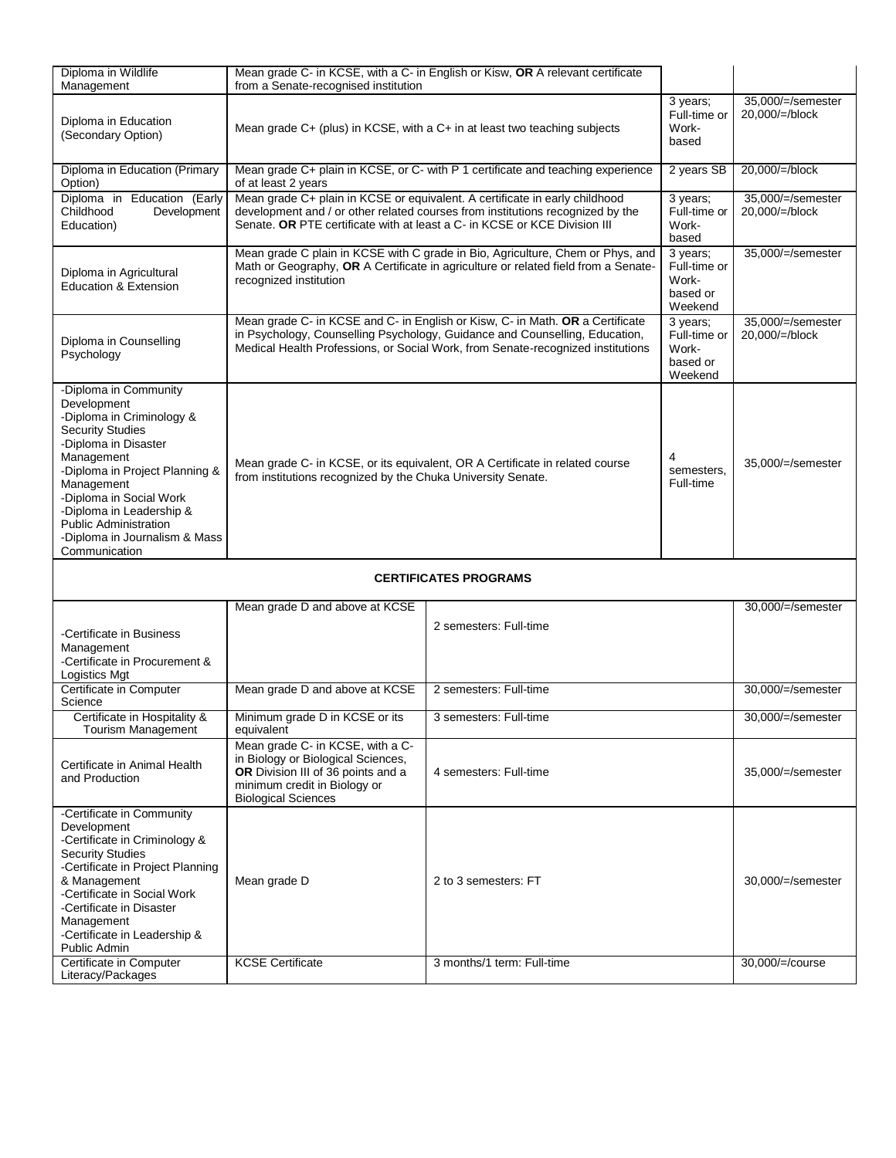| Diploma in Wildlife<br>Management                                                                                                                                                                                                                                                                                           | Mean grade C- in KCSE, with a C- in English or Kisw, OR A relevant certificate<br>from a Senate-recognised institution                                                                                                                          |                                                                                                                                                               |                                                          |                                      |
|-----------------------------------------------------------------------------------------------------------------------------------------------------------------------------------------------------------------------------------------------------------------------------------------------------------------------------|-------------------------------------------------------------------------------------------------------------------------------------------------------------------------------------------------------------------------------------------------|---------------------------------------------------------------------------------------------------------------------------------------------------------------|----------------------------------------------------------|--------------------------------------|
| Diploma in Education<br>(Secondary Option)                                                                                                                                                                                                                                                                                  | Mean grade C+ (plus) in KCSE, with a C+ in at least two teaching subjects                                                                                                                                                                       |                                                                                                                                                               | 3 years;<br>Full-time or<br>Work-<br>based               | 35,000/=/semester<br>20,000/=/block  |
| Diploma in Education (Primary<br>Option)                                                                                                                                                                                                                                                                                    | of at least 2 years                                                                                                                                                                                                                             | Mean grade C+ plain in KCSE, or C- with P 1 certificate and teaching experience                                                                               | 2 years SB                                               | 20,000/=/block                       |
| Diploma in Education (Early<br>Childhood<br>Development<br>Education)                                                                                                                                                                                                                                                       | Senate, OR PTE certificate with at least a C- in KCSE or KCE Division III                                                                                                                                                                       | Mean grade C+ plain in KCSE or equivalent. A certificate in early childhood<br>development and / or other related courses from institutions recognized by the | 3 years;<br>Full-time or<br>Work-<br>based               | 35,000/=/semester<br>20,000/=/block  |
| Diploma in Agricultural<br><b>Education &amp; Extension</b>                                                                                                                                                                                                                                                                 | Mean grade C plain in KCSE with C grade in Bio, Agriculture, Chem or Phys, and<br>Math or Geography, OR A Certificate in agriculture or related field from a Senate-<br>recognized institution                                                  |                                                                                                                                                               | 3 years;<br>Full-time or<br>Work-<br>based or<br>Weekend | 35,000/=/semester                    |
| Diploma in Counselling<br>Psychology                                                                                                                                                                                                                                                                                        | Mean grade C- in KCSE and C- in English or Kisw, C- in Math. OR a Certificate<br>in Psychology, Counselling Psychology, Guidance and Counselling, Education,<br>Medical Health Professions, or Social Work, from Senate-recognized institutions |                                                                                                                                                               | 3 years;<br>Full-time or<br>Work-<br>based or<br>Weekend | 35,000/=/semester<br>20,000/=/block  |
| -Diploma in Community<br>Development<br>-Diploma in Criminology &<br><b>Security Studies</b><br>-Diploma in Disaster<br>Management<br>-Diploma in Project Planning &<br>Management<br>-Diploma in Social Work<br>-Diploma in Leadership &<br><b>Public Administration</b><br>-Diploma in Journalism & Mass<br>Communication | Mean grade C- in KCSE, or its equivalent, OR A Certificate in related course<br>from institutions recognized by the Chuka University Senate.                                                                                                    |                                                                                                                                                               | 4<br>semesters,<br>Full-time                             | 35,000/=/semester                    |
|                                                                                                                                                                                                                                                                                                                             |                                                                                                                                                                                                                                                 | <b>CERTIFICATES PROGRAMS</b>                                                                                                                                  |                                                          |                                      |
| -Certificate in Business<br>Management<br>-Certificate in Procurement &<br>Logistics Mgt                                                                                                                                                                                                                                    | Mean grade D and above at KCSE                                                                                                                                                                                                                  | 2 semesters: Full-time                                                                                                                                        |                                                          | 30,000/=/semester                    |
| Certificate in Computer<br>Science                                                                                                                                                                                                                                                                                          | Mean grade D and above at KCSE                                                                                                                                                                                                                  | 2 semesters: Full-time                                                                                                                                        |                                                          | 30,000/=/semester                    |
| Certificate in Hospitality &<br>Tourism Management                                                                                                                                                                                                                                                                          | Minimum grade D in KCSE or its<br>equivalent                                                                                                                                                                                                    | 3 semesters: Full-time                                                                                                                                        |                                                          | 30,000/=/semester                    |
| Certificate in Animal Health<br>and Production                                                                                                                                                                                                                                                                              | Mean grade C- in KCSE, with a C-<br>in Biology or Biological Sciences,<br>OR Division III of 36 points and a<br>minimum credit in Biology or<br><b>Biological Sciences</b>                                                                      | 4 semesters: Full-time                                                                                                                                        |                                                          | 35,000/=/semester                    |
| -Certificate in Community<br>Development<br>-Certificate in Criminology &<br><b>Security Studies</b><br>-Certificate in Project Planning<br>& Management<br>-Certificate in Social Work<br>-Certificate in Disaster<br>Management<br>-Certificate in Leadership &<br>Public Admin<br>Certificate in Computer                | Mean grade D<br><b>KCSE Certificate</b>                                                                                                                                                                                                         | 2 to 3 semesters: FT<br>3 months/1 term: Full-time                                                                                                            |                                                          | 30,000/=/semester<br>30,000/=/course |
| Literacy/Packages                                                                                                                                                                                                                                                                                                           |                                                                                                                                                                                                                                                 |                                                                                                                                                               |                                                          |                                      |